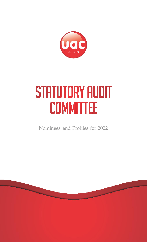

# **STATUTORY AUDIT COMMITTEE**

Nominees and Profiles for 2022

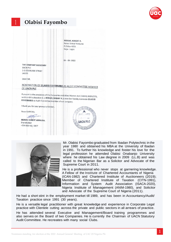

## <sup>1</sup> **Olabisi Fayombo**





Mr. Olabisi Fayombo graduated from Ibadan Polytechnic in the year 1980 and obtained his MBA at the University of Ibadan in 1991. To further his knowledge and foster his love for the legal profession he attended Olabisi Onabanjo University where he obtained his Law degree in 2009 (LL.B) and was called to the Nigerian Bar as a Solicitor and Advocate of the Supreme Court in 2011.

He is a professional who never stops at garnering knowledge. A Fellow of the Institute of Chartered Accountants of Nigeria (ICAN-1982) and Chartered Institute of Auctioneers (2019); Member of Chartered Institute of Taxation (CITN-1991), Information and System Audit Association (ISACA-2020), Nigeria Institute of Management (ANIM-1980), and Solicitor and Advocate of the Supreme Court of Nigeria (2011).

He had a short stint in the employment market till 1989, and has been in Accountancy/Audit/ Taxation practice since 1991 (30 years).

He is a versatile legal practitioner with great knowledge and experience in Corporate Legal practice with Clientele cutting across the private and public sectors in all arrears of practice.

He has attended several Executive and Management/Board training programmes and also serves on the Board of two Companies. He is currently the Chairman of UACN Statutory Audit Committee. He recreates with many social Clubs.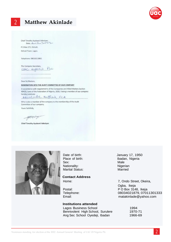

### 2 **Matthew Akinlade**

Chief Timothy Ayobami Adesiyan, Date 4 - 5 - 2 - 2 - 2

P O Box 272, Oshodi,

Oshodi Town, Lagos.

Telephone: 08033513861

The Company Secretary,  $PLc$ UAC NYERIA

Dear Sir/Madam,

#### NOMINATION INTO THE AUDIT COMMITTEE OF OUR COMPANY

In accordance with requirements of the Companies and Allied Matters Section 404(3), Laws of the Federation of Nigeria, 2020, I being a member of our company hereby nominate

Akinlade Matthew, FCA

Who is also a member of the company to the membership of the Audit Committee of our company.

Yours faithfully,

Herrich

Chief Timothy Ayobami Adesiyan



Sex: Male Nationality: Nationality: Nigerian Marital Status: Married

#### **Contact Address**

#### **Institutions attended**

Lagos Business School 1994 Bennivolent High School, Surulere 1970-71 Ang Sec School Oyedeji, Ibadan 1966-69

Date of birth: January 17, 1950 Place of birth: Ibadan, Nigeria

Home: 7, Ondo Street, Okeira, Ogba, Ikeja Postal: Postal: PO Box 3148, Ikeja Telephone: 08034021879, 07011301333<br>
Email: matakinlade@vahoo.com [matakinlade@yahoo.com](mailto:matakinlade@yahoo.com)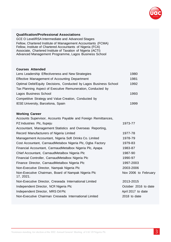

#### **Qualification/Professional Associations**

GCE O Level/RSA Intermediate and Advanced Stages Fellow, Chartered Institute of Management Accountants (FCMA) Fellow, Institute of Chartered Accountants of Nigeria (FCA) Associate, Chartered Institute of Taxation of Nigeria (ACTI) Advanced Management Programme, Lagos Business School

#### **Courses Attended**

| Lens Leadership Effectiveness and New Strategies                  | 1980 |
|-------------------------------------------------------------------|------|
| Effective Management of Accounting Department                     | 1981 |
| Optimal Debt/Equity Decisions, Conducted by Lagos Business School | 1992 |
| Tax Planning Aspect of Executive Remuneration, Conducted by       |      |
| Lagos Business School                                             | 1993 |
| Competitive Strategy and Value Creation, Conducted by             |      |
| IESE University, Barcelona, Spain                                 | 1999 |
|                                                                   |      |

#### **Working Career**

| Accounts Supervisor, Accounts Payable and Foreign Remittances,   |                      |
|------------------------------------------------------------------|----------------------|
| PZ Industries Plc, Ilupeju                                       | 1973-77              |
| Accountant, Management Statistics and Overseas Reporting,        |                      |
| Record Manufacturers of Nigeria Limited                          | 1977-78              |
| Management Accountant, Nigeria Soft Drinks Co. Limited           | 1978-79              |
| Cost Accountant, CarnaudMetabox Nigeria Plc, Ogba Factory        | 1979-83              |
| Financial Accountant, CarmaudMetalbox Nigeria Plc, Apapa         | 1983-87              |
| Chief Accountant, CarnaudMetalbox Nigeria Plc                    | 1987-90              |
| Financial Controller, CarnaudMetalbox Nigeria Plc                | 1990-97              |
| Finance Director, CarnaudMetalbox Nigeria Plc                    | 1997-2003            |
| Non-Executive Director, Nampak Nigeria Plc                       | 2003-2006            |
| Non-Executive Chairman, Board of Nampak Nigeria Plc<br>17, 2021. | Nov 2006 to February |
| Non-Executive Director, Creseada International Limited           | 2013-2015            |
| Independent Director, NCR Nigeria Plc                            | October 2016 to date |
| Independent Director, MRS Oil Plc                                | April 2017 to date   |
| Non-Executive Chairman Creseada International Limited            | 2018 to date         |
|                                                                  |                      |